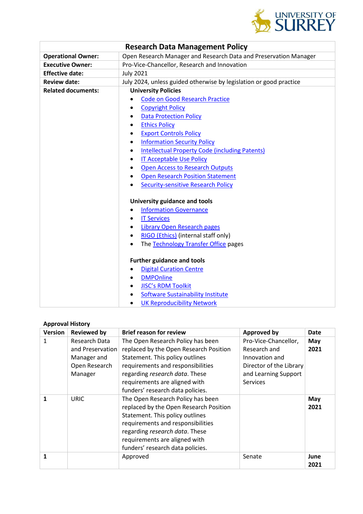

| <b>Research Data Management Policy</b> |                                                                    |  |  |  |  |
|----------------------------------------|--------------------------------------------------------------------|--|--|--|--|
| <b>Operational Owner:</b>              | Open Research Manager and Research Data and Preservation Manager   |  |  |  |  |
| <b>Executive Owner:</b>                | Pro-Vice-Chancellor, Research and Innovation                       |  |  |  |  |
| <b>Effective date:</b>                 | <b>July 2021</b>                                                   |  |  |  |  |
| <b>Review date:</b>                    | July 2024, unless guided otherwise by legislation or good practice |  |  |  |  |
| <b>Related documents:</b>              | <b>University Policies</b>                                         |  |  |  |  |
|                                        | <b>Code on Good Research Practice</b>                              |  |  |  |  |
|                                        | <b>Copyright Policy</b>                                            |  |  |  |  |
|                                        | <b>Data Protection Policy</b><br>$\bullet$                         |  |  |  |  |
|                                        | <b>Ethics Policy</b>                                               |  |  |  |  |
|                                        | <b>Export Controls Policy</b>                                      |  |  |  |  |
|                                        | <b>Information Security Policy</b>                                 |  |  |  |  |
|                                        | <b>Intellectual Property Code (including Patents)</b><br>٠         |  |  |  |  |
|                                        | <b>IT Acceptable Use Policy</b>                                    |  |  |  |  |
|                                        | <b>Open Access to Research Outputs</b>                             |  |  |  |  |
|                                        | <b>Open Research Position Statement</b><br>$\bullet$               |  |  |  |  |
|                                        | <b>Security-sensitive Research Policy</b>                          |  |  |  |  |
|                                        | University guidance and tools                                      |  |  |  |  |
|                                        | <b>Information Governance</b><br>$\bullet$                         |  |  |  |  |
|                                        | <b>IT Services</b>                                                 |  |  |  |  |
|                                        | Library Open Research pages<br>$\bullet$                           |  |  |  |  |
|                                        | RIGO (Ethics) (internal staff only)<br>$\bullet$                   |  |  |  |  |
|                                        | The Technology Transfer Office pages                               |  |  |  |  |
|                                        | <b>Further guidance and tools</b>                                  |  |  |  |  |
|                                        | <b>Digital Curation Centre</b>                                     |  |  |  |  |
|                                        | <b>DMPOnline</b>                                                   |  |  |  |  |
|                                        | <b>JISC's RDM Toolkit</b><br>$\bullet$                             |  |  |  |  |
|                                        | <b>Software Sustainability Institute</b>                           |  |  |  |  |
|                                        | <b>UK Reproducibility Network</b><br>$\bullet$                     |  |  |  |  |

# **Approval History**

| <b>Version</b> | <b>Reviewed by</b> | <b>Brief reason for review</b>         | <b>Approved by</b>      | <b>Date</b> |
|----------------|--------------------|----------------------------------------|-------------------------|-------------|
| 1              | Research Data      | The Open Research Policy has been      | Pro-Vice-Chancellor,    | May         |
|                | and Preservation   | replaced by the Open Research Position | Research and            | 2021        |
|                | Manager and        | Statement. This policy outlines        | Innovation and          |             |
|                | Open Research      | requirements and responsibilities      | Director of the Library |             |
|                | Manager            | regarding research data. These         | and Learning Support    |             |
|                |                    | requirements are aligned with          | <b>Services</b>         |             |
|                |                    | funders' research data policies.       |                         |             |
| 1              | <b>URIC</b>        | The Open Research Policy has been      |                         | May         |
|                |                    | replaced by the Open Research Position |                         | 2021        |
|                |                    | Statement. This policy outlines        |                         |             |
|                |                    | requirements and responsibilities      |                         |             |
|                |                    | regarding research data. These         |                         |             |
|                |                    | requirements are aligned with          |                         |             |
|                |                    | funders' research data policies.       |                         |             |
| 1              |                    | Approved                               | Senate                  | June        |
|                |                    |                                        |                         | 2021        |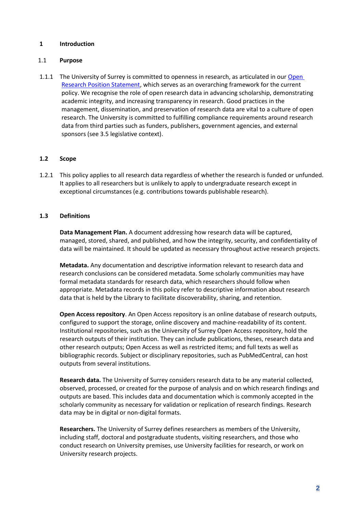### **1 Introduction**

#### 1.1 **Purpose**

1.1.1 The University of Surrey is committed to openness in research, as articulated in our Open [Research Position Statement,](https://www.surrey.ac.uk/research/excellence/open-research) which serves as an overarching framework for the current policy. We recognise the role of open research data in advancing scholarship, demonstrating academic integrity, and increasing transparency in research. Good practices in the management, dissemination, and preservation of research data are vital to a culture of open research. The University is committed to fulfilling compliance requirements around research data from third parties such as funders, publishers, government agencies, and external sponsors (see 3.5 legislative context).

#### **1.2 Scope**

1.2.1 This policy applies to all research data regardless of whether the research is funded or unfunded. It applies to all researchers but is unlikely to apply to undergraduate research except in exceptional circumstances (e.g. contributions towards publishable research).

### **1.3 Definitions**

**Data Management Plan.** A document addressing how research data will be captured, managed, stored, shared, and published, and how the integrity, security, and confidentiality of data will be maintained. It should be updated as necessary throughout active research projects.

**Metadata.** Any documentation and descriptive information relevant to research data and research conclusions can be considered metadata. Some scholarly communities may have formal metadata standards for research data, which researchers should follow when appropriate. Metadata records in this policy refer to descriptive information about research data that is held by the Library to facilitate discoverability, sharing, and retention.

**Open Access repository**. An Open Access repository is an online database of research outputs, configured to support the storage, online discovery and machine-readability of its content. Institutional repositories, such as the University of Surrey Open Access repository, hold the research outputs of their institution. They can include publications, theses, research data and other research outputs; Open Access as well as restricted items; and full texts as well as bibliographic records. Subject or disciplinary repositories, such as PubMedCentral, can host outputs from several institutions.

**Research data.** The University of Surrey considers research data to be any material collected, observed, processed, or created for the purpose of analysis and on which research findings and outputs are based. This includes data and documentation which is commonly accepted in the scholarly community as necessary for validation or replication of research findings. Research data may be in digital or non-digital formats.

**Researchers.** The University of Surrey defines researchers as members of the University, including staff, doctoral and postgraduate students, visiting researchers, and those who conduct research on University premises, use University facilities for research, or work on University research projects.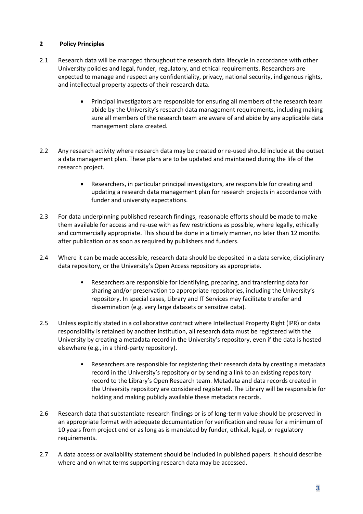## **2 Policy Principles**

- 2.1 Research data will be managed throughout the research data lifecycle in accordance with other University policies and legal, funder, regulatory, and ethical requirements. Researchers are expected to manage and respect any confidentiality, privacy, national security, indigenous rights, and intellectual property aspects of their research data.
	- Principal investigators are responsible for ensuring all members of the research team abide by the University's research data management requirements, including making sure all members of the research team are aware of and abide by any applicable data management plans created.
- 2.2 Any research activity where research data may be created or re-used should include at the outset a data management plan. These plans are to be updated and maintained during the life of the research project.
	- Researchers, in particular principal investigators, are responsible for creating and updating a research data management plan for research projects in accordance with funder and university expectations.
- 2.3 For data underpinning published research findings, reasonable efforts should be made to make them available for access and re-use with as few restrictions as possible, where legally, ethically and commercially appropriate. This should be done in a timely manner, no later than 12 months after publication or as soon as required by publishers and funders.
- 2.4 Where it can be made accessible, research data should be deposited in a data service, disciplinary data repository, or the University's Open Access repository as appropriate.
	- Researchers are responsible for identifying, preparing, and transferring data for sharing and/or preservation to appropriate repositories, including the University's repository. In special cases, Library and IT Services may facilitate transfer and dissemination (e.g. very large datasets or sensitive data).
- 2.5 Unless explicitly stated in a collaborative contract where Intellectual Property Right (IPR) or data responsibility is retained by another institution, all research data must be registered with the University by creating a metadata record in the University's repository, even if the data is hosted elsewhere (e.g., in a third-party repository).
	- Researchers are responsible for registering their research data by creating a metadata record in the University's repository or by sending a link to an existing repository record to the Library's Open Research team. Metadata and data records created in the University repository are considered registered. The Library will be responsible for holding and making publicly available these metadata records.
- 2.6 Research data that substantiate research findings or is of long-term value should be preserved in an appropriate format with adequate documentation for verification and reuse for a minimum of 10 years from project end or as long as is mandated by funder, ethical, legal, or regulatory requirements.
- 2.7 A data access or availability statement should be included in published papers. It should describe where and on what terms supporting research data may be accessed.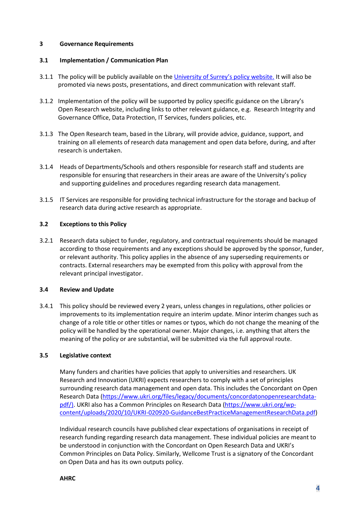## **3 Governance Requirements**

### **3.1 Implementation / Communication Plan**

- 3.1.1 The policy will be publicly available on th[e University of Surrey](https://www.surrey.ac.uk/about/policies)'s policy website. It will also be promoted via news posts, presentations, and direct communication with relevant staff.
- 3.1.2 Implementation of the policy will be supported by policy specific guidance on the Library's Open Research website, including links to other relevant guidance, e.g. Research Integrity and Governance Office, Data Protection, IT Services, funders policies, etc.
- 3.1.3 The Open Research team, based in the Library, will provide advice, guidance, support, and training on all elements of research data management and open data before, during, and after research is undertaken.
- 3.1.4 Heads of Departments/Schools and others responsible for research staff and students are responsible for ensuring that researchers in their areas are aware of the University's policy and supporting guidelines and procedures regarding research data management.
- 3.1.5 IT Services are responsible for providing technical infrastructure for the storage and backup of research data during active research as appropriate.

### **3.2 Exceptions to this Policy**

3.2.1 Research data subject to funder, regulatory, and contractual requirements should be managed according to those requirements and any exceptions should be approved by the sponsor, funder, or relevant authority. This policy applies in the absence of any superseding requirements or contracts. External researchers may be exempted from this policy with approval from the relevant principal investigator.

#### **3.4 Review and Update**

3.4.1 This policy should be reviewed every 2 years, unless changes in regulations, other policies or improvements to its implementation require an interim update. Minor interim changes such as change of a role title or other titles or names or typos, which do not change the meaning of the policy will be handled by the operational owner. Major changes, i.e. anything that alters the meaning of the policy or are substantial, will be submitted via the full approval route.

#### **3.5 Legislative context**

Many funders and charities have policies that apply to universities and researchers. UK Research and Innovation (UKRI) expects researchers to comply with a set of principles surrounding research data management and open data. This includes the Concordant on Open Research Data [\(https://www.ukri.org/files/legacy/documents/concordatonopenresearchdata](https://www.ukri.org/files/legacy/documents/concordatonopenresearchdata-pdf/)[pdf/\)](https://www.ukri.org/files/legacy/documents/concordatonopenresearchdata-pdf/). UKRI also has a Common Principles on Research Data [\(https://www.ukri.org/wp](https://www.ukri.org/wp-content/uploads/2020/10/UKRI-020920-GuidanceBestPracticeManagementResearchData.pdf)[content/uploads/2020/10/UKRI-020920-GuidanceBestPracticeManagementResearchData.pdf\)](https://www.ukri.org/wp-content/uploads/2020/10/UKRI-020920-GuidanceBestPracticeManagementResearchData.pdf)

Individual research councils have published clear expectations of organisations in receipt of research funding regarding research data management. These individual policies are meant to be understood in conjunction with the Concordant on Open Research Data and UKRI's Common Principles on Data Policy. Similarly, Wellcome Trust is a signatory of the Concordant on Open Data and has its own outputs policy.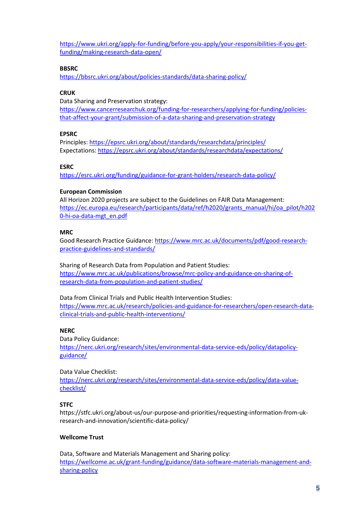[https://www.ukri.org/apply-for-funding/before-you-apply/your-responsibilities-if-you-get](https://www.ukri.org/apply-for-funding/before-you-apply/your-responsibilities-if-you-get-funding/making-research-data-open/)[funding/making-research-data-open/](https://www.ukri.org/apply-for-funding/before-you-apply/your-responsibilities-if-you-get-funding/making-research-data-open/)

#### **BBSRC**

<https://bbsrc.ukri.org/about/policies-standards/data-sharing-policy/>

## **CRUK**

Data Sharing and Preservation strategy: [https://www.cancerresearchuk.org/funding-for-researchers/applying-for-funding/policies](https://www.cancerresearchuk.org/funding-for-researchers/applying-for-funding/policies-that-affect-your-grant/submission-of-a-data-sharing-and-preservation-strategy)[that-affect-your-grant/submission-of-a-data-sharing-and-preservation-strategy](https://www.cancerresearchuk.org/funding-for-researchers/applying-for-funding/policies-that-affect-your-grant/submission-of-a-data-sharing-and-preservation-strategy)

#### **EPSRC**

Principles[: https://epsrc.ukri.org/about/standards/researchdata/principles/](https://epsrc.ukri.org/about/standards/researchdata/principles/) Expectations: <https://epsrc.ukri.org/about/standards/researchdata/expectations/>

#### **ESRC**

<https://esrc.ukri.org/funding/guidance-for-grant-holders/research-data-policy/>

#### **European Commission**

All Horizon 2020 projects are subject to the Guidelines on FAIR Data Management: [https://ec.europa.eu/research/participants/data/ref/h2020/grants\\_manual/hi/oa\\_pilot/h202](https://ec.europa.eu/research/participants/data/ref/h2020/grants_manual/hi/oa_pilot/h2020-hi-oa-data-mgt_en.pdf) [0-hi-oa-data-mgt\\_en.pdf](https://ec.europa.eu/research/participants/data/ref/h2020/grants_manual/hi/oa_pilot/h2020-hi-oa-data-mgt_en.pdf)

#### **MRC**

Good Research Practice Guidance: [https://www.mrc.ac.uk/documents/pdf/good-research](https://www.mrc.ac.uk/documents/pdf/good-research-practice-guidelines-and-standards/)[practice-guidelines-and-standards/](https://www.mrc.ac.uk/documents/pdf/good-research-practice-guidelines-and-standards/)

Sharing of Research Data from Population and Patient Studies: [https://www.mrc.ac.uk/publications/browse/mrc-policy-and-guidance-on-sharing-of](https://www.mrc.ac.uk/publications/browse/mrc-policy-and-guidance-on-sharing-of-research-data-from-population-and-patient-studies/)[research-data-from-population-and-patient-studies/](https://www.mrc.ac.uk/publications/browse/mrc-policy-and-guidance-on-sharing-of-research-data-from-population-and-patient-studies/)

Data from Clinical Trials and Public Health Intervention Studies: [https://www.mrc.ac.uk/research/policies-and-guidance-for-researchers/open-research-data](https://www.mrc.ac.uk/research/policies-and-guidance-for-researchers/open-research-data-clinical-trials-and-public-health-interventions/)[clinical-trials-and-public-health-interventions/](https://www.mrc.ac.uk/research/policies-and-guidance-for-researchers/open-research-data-clinical-trials-and-public-health-interventions/)

#### **NERC**

Data Policy Guidance: [https://nerc.ukri.org/research/sites/environmental-data-service-eds/policy/datapolicy](https://nerc.ukri.org/research/sites/environmental-data-service-eds/policy/datapolicy-guidance/)[guidance/](https://nerc.ukri.org/research/sites/environmental-data-service-eds/policy/datapolicy-guidance/)

Data Value Checklist: [https://nerc.ukri.org/research/sites/environmental-data-service-eds/policy/data-value](https://nerc.ukri.org/research/sites/environmental-data-service-eds/policy/data-value-checklist/)[checklist/](https://nerc.ukri.org/research/sites/environmental-data-service-eds/policy/data-value-checklist/)

#### **STFC**

https://stfc.ukri.org/about-us/our-purpose-and-priorities/requesting-information-from-ukresearch-and-innovation/scientific-data-policy/

#### **Wellcome Trust**

Data, Software and Materials Management and Sharing policy: [https://wellcome.ac.uk/grant-funding/guidance/data-software-materials-management-and](https://wellcome.ac.uk/grant-funding/guidance/data-software-materials-management-and-sharing-policy)[sharing-policy](https://wellcome.ac.uk/grant-funding/guidance/data-software-materials-management-and-sharing-policy)